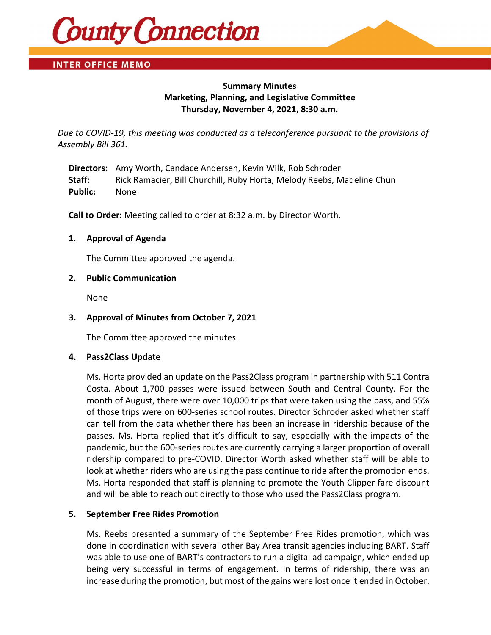

# **INTER OFFICE MEMO**

# **Summary Minutes Marketing, Planning, and Legislative Committee Thursday, November 4, 2021, 8:30 a.m.**

*Due to COVID-19, this meeting was conducted as a teleconference pursuant to the provisions of Assembly Bill 361.*

**Directors:** Amy Worth, Candace Andersen, Kevin Wilk, Rob Schroder **Staff:** Rick Ramacier, Bill Churchill, Ruby Horta, Melody Reebs, Madeline Chun **Public:** None

**Call to Order:** Meeting called to order at 8:32 a.m. by Director Worth.

#### **1. Approval of Agenda**

The Committee approved the agenda.

#### **2. Public Communication**

None

### **3. Approval of Minutes from October 7, 2021**

The Committee approved the minutes.

#### **4. Pass2Class Update**

Ms. Horta provided an update on the Pass2Class program in partnership with 511 Contra Costa. About 1,700 passes were issued between South and Central County. For the month of August, there were over 10,000 trips that were taken using the pass, and 55% of those trips were on 600-series school routes. Director Schroder asked whether staff can tell from the data whether there has been an increase in ridership because of the passes. Ms. Horta replied that it's difficult to say, especially with the impacts of the pandemic, but the 600-series routes are currently carrying a larger proportion of overall ridership compared to pre-COVID. Director Worth asked whether staff will be able to look at whether riders who are using the pass continue to ride after the promotion ends. Ms. Horta responded that staff is planning to promote the Youth Clipper fare discount and will be able to reach out directly to those who used the Pass2Class program.

### **5. September Free Rides Promotion**

Ms. Reebs presented a summary of the September Free Rides promotion, which was done in coordination with several other Bay Area transit agencies including BART. Staff was able to use one of BART's contractors to run a digital ad campaign, which ended up being very successful in terms of engagement. In terms of ridership, there was an increase during the promotion, but most of the gains were lost once it ended in October.